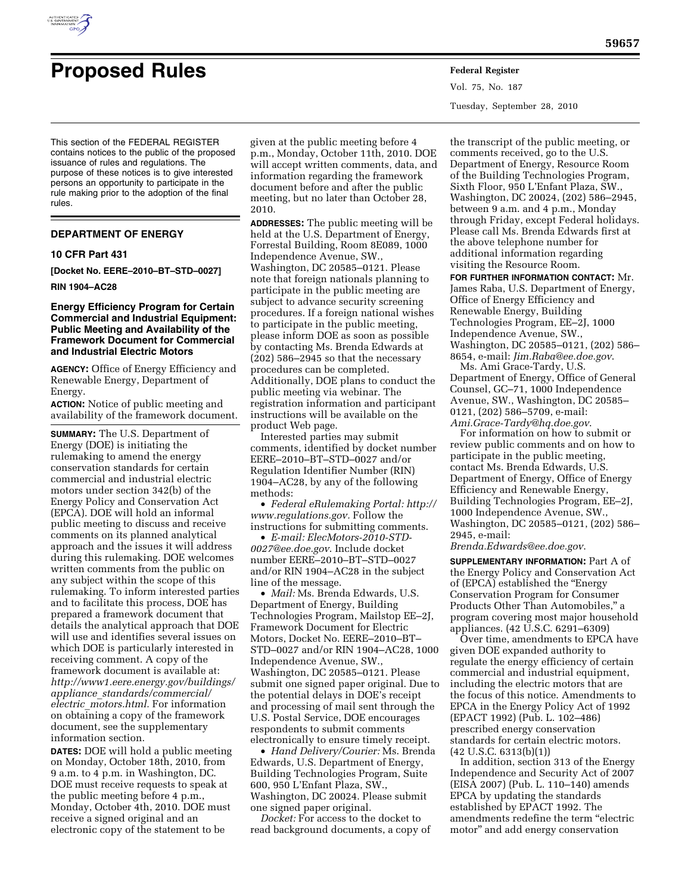

# **Proposed Rules Federal Register**

Vol. 75, No. 187 Tuesday, September 28, 2010

This section of the FEDERAL REGISTER contains notices to the public of the proposed issuance of rules and regulations. The purpose of these notices is to give interested persons an opportunity to participate in the rule making prior to the adoption of the final rules.

## **DEPARTMENT OF ENERGY**

## **10 CFR Part 431**

**[Docket No. EERE–2010–BT–STD–0027]** 

## **RIN 1904–AC28**

## **Energy Efficiency Program for Certain Commercial and Industrial Equipment: Public Meeting and Availability of the Framework Document for Commercial and Industrial Electric Motors**

**AGENCY:** Office of Energy Efficiency and Renewable Energy, Department of Energy.

**ACTION:** Notice of public meeting and availability of the framework document.

**SUMMARY:** The U.S. Department of Energy (DOE) is initiating the rulemaking to amend the energy conservation standards for certain commercial and industrial electric motors under section 342(b) of the Energy Policy and Conservation Act (EPCA). DOE will hold an informal public meeting to discuss and receive comments on its planned analytical approach and the issues it will address during this rulemaking. DOE welcomes written comments from the public on any subject within the scope of this rulemaking. To inform interested parties and to facilitate this process, DOE has prepared a framework document that details the analytical approach that DOE will use and identifies several issues on which DOE is particularly interested in receiving comment. A copy of the framework document is available at: *[http://www1.eere.energy.gov/buildings/](http://www1.eere.energy.gov/buildings/appliance_standards/commercial/electric_motors.html) appliance*\_*[standards/commercial/](http://www1.eere.energy.gov/buildings/appliance_standards/commercial/electric_motors.html) electric*\_*[motors.html.](http://www1.eere.energy.gov/buildings/appliance_standards/commercial/electric_motors.html)* For information on obtaining a copy of the framework document, see the supplementary information section.

**DATES:** DOE will hold a public meeting on Monday, October 18th, 2010, from 9 a.m. to 4 p.m. in Washington, DC. DOE must receive requests to speak at the public meeting before 4 p.m., Monday, October 4th, 2010. DOE must receive a signed original and an electronic copy of the statement to be

given at the public meeting before 4 p.m., Monday, October 11th, 2010. DOE will accept written comments, data, and information regarding the framework document before and after the public meeting, but no later than October 28, 2010.

**ADDRESSES:** The public meeting will be held at the U.S. Department of Energy, Forrestal Building, Room 8E089, 1000 Independence Avenue, SW., Washington, DC 20585–0121. Please note that foreign nationals planning to participate in the public meeting are subject to advance security screening procedures. If a foreign national wishes to participate in the public meeting, please inform DOE as soon as possible by contacting Ms. Brenda Edwards at (202) 586–2945 so that the necessary procedures can be completed. Additionally, DOE plans to conduct the public meeting via webinar. The registration information and participant instructions will be available on the product Web page.

Interested parties may submit comments, identified by docket number EERE–2010–BT–STD–0027 and/or Regulation Identifier Number (RIN) 1904–AC28, by any of the following methods:

• *Federal eRulemaking Portal: [http://](http://www.regulations.gov)  [www.regulations.gov.](http://www.regulations.gov)* Follow the instructions for submitting comments.

• *E-mail: [ElecMotors-2010-STD-](mailto:ElecMotors-2010-STD-0027@ee.doe.gov)[0027@ee.doe.gov](mailto:ElecMotors-2010-STD-0027@ee.doe.gov)*. Include docket number EERE–2010–BT–STD–0027 and/or RIN 1904–AC28 in the subject line of the message.

• *Mail:* Ms. Brenda Edwards, U.S. Department of Energy, Building Technologies Program, Mailstop EE–2J, Framework Document for Electric Motors, Docket No. EERE–2010–BT– STD–0027 and/or RIN 1904–AC28, 1000 Independence Avenue, SW., Washington, DC 20585–0121. Please submit one signed paper original. Due to the potential delays in DOE's receipt and processing of mail sent through the U.S. Postal Service, DOE encourages respondents to submit comments electronically to ensure timely receipt.

• *Hand Delivery/Courier:* Ms. Brenda Edwards, U.S. Department of Energy, Building Technologies Program, Suite 600, 950 L'Enfant Plaza, SW., Washington, DC 20024. Please submit one signed paper original.

*Docket:* For access to the docket to read background documents, a copy of

the transcript of the public meeting, or comments received, go to the U.S. Department of Energy, Resource Room of the Building Technologies Program, Sixth Floor, 950 L'Enfant Plaza, SW., Washington, DC 20024, (202) 586–2945, between 9 a.m. and 4 p.m., Monday through Friday, except Federal holidays. Please call Ms. Brenda Edwards first at the above telephone number for additional information regarding visiting the Resource Room.

**FOR FURTHER INFORMATION CONTACT:** Mr. James Raba, U.S. Department of Energy, Office of Energy Efficiency and Renewable Energy, Building Technologies Program, EE–2J, 1000 Independence Avenue, SW., Washington, DC 20585–0121, (202) 586– 8654, e-mail: *[Jim.Raba@ee.doe.gov](mailto:Jim.Raba@ee.doe.gov)*.

Ms. Ami Grace-Tardy, U.S. Department of Energy, Office of General Counsel, GC–71, 1000 Independence Avenue, SW., Washington, DC 20585– 0121, (202) 586–5709, e-mail: *[Ami.Grace-Tardy@hq.doe.gov](mailto:Ami.Grace-Tardy@hq.doe.gov)*.

For information on how to submit or review public comments and on how to participate in the public meeting, contact Ms. Brenda Edwards, U.S. Department of Energy, Office of Energy Efficiency and Renewable Energy, Building Technologies Program, EE–2J, 1000 Independence Avenue, SW., Washington, DC 20585–0121, (202) 586– 2945, e-mail:

*[Brenda.Edwards@ee.doe.gov](mailto:Brenda.Edwards@ee.doe.gov)*.

**SUPPLEMENTARY INFORMATION: Part A of** the Energy Policy and Conservation Act of (EPCA) established the ''Energy Conservation Program for Consumer Products Other Than Automobiles,'' a program covering most major household appliances. (42 U.S.C. 6291–6309)

Over time, amendments to EPCA have given DOE expanded authority to regulate the energy efficiency of certain commercial and industrial equipment, including the electric motors that are the focus of this notice. Amendments to EPCA in the Energy Policy Act of 1992 (EPACT 1992) (Pub. L. 102–486) prescribed energy conservation standards for certain electric motors.  $(42 \text{ U.S.C. } 6313 \text{ (b)}(1))$ 

In addition, section 313 of the Energy Independence and Security Act of 2007 (EISA 2007) (Pub. L. 110–140) amends EPCA by updating the standards established by EPACT 1992. The amendments redefine the term ''electric motor'' and add energy conservation